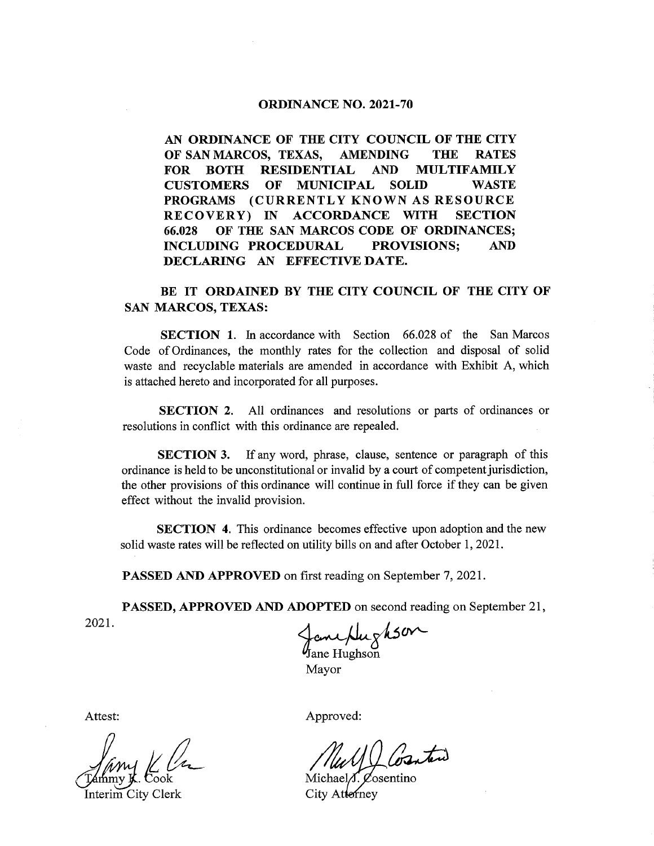## **ORDINANCE NO. 2021-70**

AN ORDINANCE OF THE CITY COUNCIL OF THE CITY OF SAN MARCOS, TEXAS, AMENDING THE RATES FOR BOTH RESIDENTIAL AND MULTIFAMILY CUSTOMERS OF MUNICIPAL SOLID WASTE PROGRAMS (CURRENTLY KNOWN AS RESOURCE RECOVERY) IN ACCORDANCE WITH SECTION 66. 028 OF THE SAN MARCOS CODE OF ORDINANCES; INCLUDING PROCEDURAL PROVISIONS; AND DECLARING AN EFFECTIVE DATE.

## BE IT ORDAINED BY THE CITY COUNCIL OF THE CITY OF SAN MARCOS, TEXAS:

SECTION 1. In accordance with Section 66.028 of the San Marcos Code of Ordinances, the monthly rates for the collection and disposal of solid waste and recyclable materials are amended in accordance with Exhibit A, which is attached hereto and incorporated for all purposes.

SECTION 2. All ordinances and resolutions or parts of ordinances or resolutions in conflict with this ordinance are repealed.

SECTION 3. If any word, phrase, clause, sentence or paragraph of this ordinance is held to be unconstitutional or invalid by a court of competent jurisdiction, the other provisions of this ordinance will continue in full force if they can be given effect without the invalid provision.

SECTION 4. This ordinance becomes effective upon adoption and the new solid waste rates will be reflected on utility bills on and after October 1, 2021.

PASSED AND APPROVED on first reading on September 7, 2021.

PASSED, APPROVED AND ADOPTED on second reading on September 21, 2021.  $\lambda$   $\lambda$   $\lambda$ 

 $\mathcal{Y}_{\text{lane Hughsoi}}$ Mayor

Attest:

Jimy Kl

Interim City Clerk

Approved:

oranteri

Michael $\Lambda$ . Cosentino City Atterney